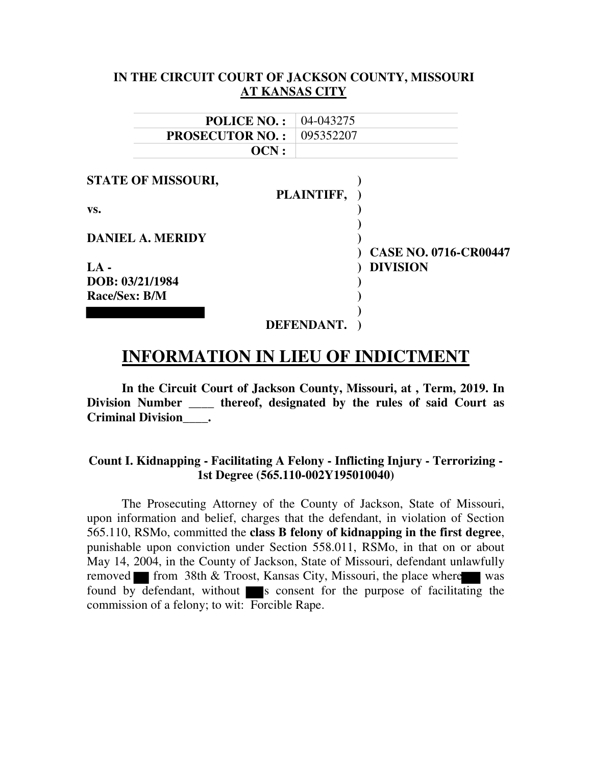### **IN THE CIRCUIT COURT OF JACKSON COUNTY, MISSOURI AT KANSAS CITY**

| <b>POLICE NO.:</b>        | 04-043275  |                                                 |
|---------------------------|------------|-------------------------------------------------|
| <b>PROSECUTOR NO.:</b>    | 095352207  |                                                 |
| OCN:                      |            |                                                 |
| <b>STATE OF MISSOURI,</b> |            |                                                 |
|                           | PLAINTIFF, |                                                 |
| VS.                       |            |                                                 |
| <b>DANIEL A. MERIDY</b>   |            |                                                 |
| $LA -$                    |            | <b>CASE NO. 0716-CR00447</b><br><b>DIVISION</b> |
| DOB: 03/21/1984           |            |                                                 |
| Race/Sex: B/M             |            |                                                 |
|                           |            |                                                 |
|                           | DEFENDANT. |                                                 |
|                           |            |                                                 |

# **INFORMATION IN LIEU OF INDICTMENT**

**In the Circuit Court of Jackson County, Missouri, at , Term, 2019. In Division Number \_\_\_\_ thereof, designated by the rules of said Court as Criminal Division\_\_\_\_.** 

#### **Count I. Kidnapping - Facilitating A Felony - Inflicting Injury - Terrorizing - 1st Degree (565.110-002Y195010040)**

The Prosecuting Attorney of the County of Jackson, State of Missouri, upon information and belief, charges that the defendant, in violation of Section 565.110, RSMo, committed the **class B felony of kidnapping in the first degree**, punishable upon conviction under Section 558.011, RSMo, in that on or about May 14, 2004, in the County of Jackson, State of Missouri, defendant unlawfully removed from 38th & Troost, Kansas City, Missouri, the place where was found by defendant, without  $\blacksquare$  s consent for the purpose of facilitating the commission of a felony; to wit: Forcible Rape.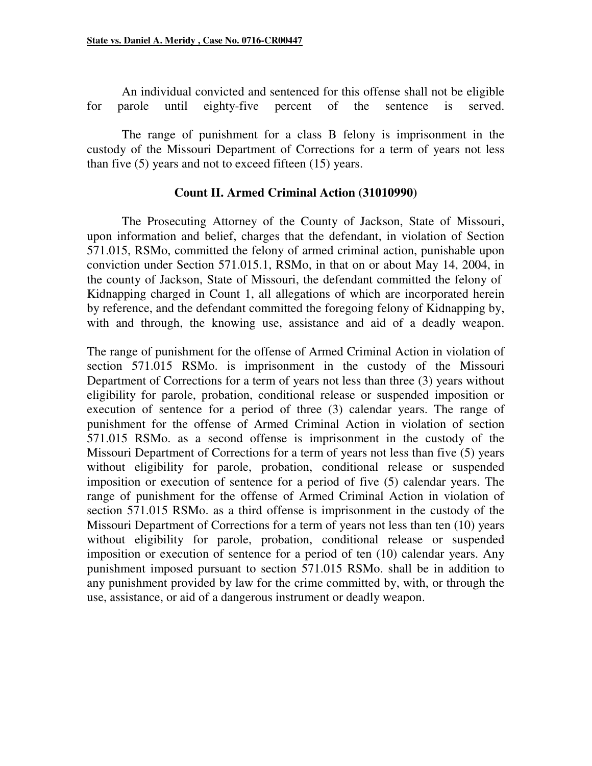An individual convicted and sentenced for this offense shall not be eligible for parole until eighty-five percent of the sentence is served.

The range of punishment for a class B felony is imprisonment in the custody of the Missouri Department of Corrections for a term of years not less than five (5) years and not to exceed fifteen (15) years.

#### **Count II. Armed Criminal Action (31010990)**

The Prosecuting Attorney of the County of Jackson, State of Missouri, upon information and belief, charges that the defendant, in violation of Section 571.015, RSMo, committed the felony of armed criminal action, punishable upon conviction under Section 571.015.1, RSMo, in that on or about May 14, 2004, in the county of Jackson, State of Missouri, the defendant committed the felony of Kidnapping charged in Count 1, all allegations of which are incorporated herein by reference, and the defendant committed the foregoing felony of Kidnapping by, with and through, the knowing use, assistance and aid of a deadly weapon.

The range of punishment for the offense of Armed Criminal Action in violation of section 571.015 RSMo. is imprisonment in the custody of the Missouri Department of Corrections for a term of years not less than three (3) years without eligibility for parole, probation, conditional release or suspended imposition or execution of sentence for a period of three (3) calendar years. The range of punishment for the offense of Armed Criminal Action in violation of section 571.015 RSMo. as a second offense is imprisonment in the custody of the Missouri Department of Corrections for a term of years not less than five (5) years without eligibility for parole, probation, conditional release or suspended imposition or execution of sentence for a period of five (5) calendar years. The range of punishment for the offense of Armed Criminal Action in violation of section 571.015 RSMo. as a third offense is imprisonment in the custody of the Missouri Department of Corrections for a term of years not less than ten (10) years without eligibility for parole, probation, conditional release or suspended imposition or execution of sentence for a period of ten (10) calendar years. Any punishment imposed pursuant to section 571.015 RSMo. shall be in addition to any punishment provided by law for the crime committed by, with, or through the use, assistance, or aid of a dangerous instrument or deadly weapon.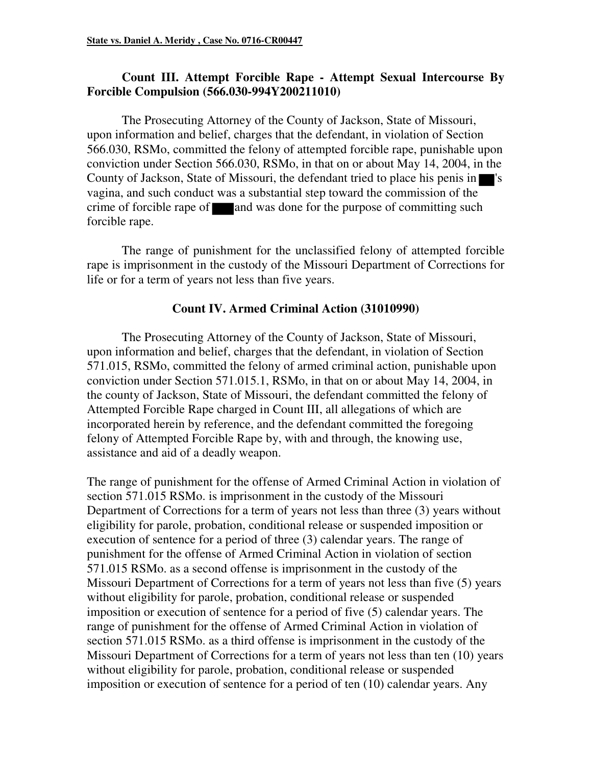## **Count III. Attempt Forcible Rape - Attempt Sexual Intercourse By Forcible Compulsion (566.030-994Y200211010)**

The Prosecuting Attorney of the County of Jackson, State of Missouri, upon information and belief, charges that the defendant, in violation of Section 566.030, RSMo, committed the felony of attempted forcible rape, punishable upon conviction under Section 566.030, RSMo, in that on or about May 14, 2004, in the County of Jackson, State of Missouri, the defendant tried to place his penis in  $\blacksquare$ 's vagina, and such conduct was a substantial step toward the commission of the crime of forcible rape of  $\Box$  and was done for the purpose of committing such forcible rape.

The range of punishment for the unclassified felony of attempted forcible rape is imprisonment in the custody of the Missouri Department of Corrections for life or for a term of years not less than five years.

#### **Count IV. Armed Criminal Action (31010990)**

The Prosecuting Attorney of the County of Jackson, State of Missouri, upon information and belief, charges that the defendant, in violation of Section 571.015, RSMo, committed the felony of armed criminal action, punishable upon conviction under Section 571.015.1, RSMo, in that on or about May 14, 2004, in the county of Jackson, State of Missouri, the defendant committed the felony of Attempted Forcible Rape charged in Count III, all allegations of which are incorporated herein by reference, and the defendant committed the foregoing felony of Attempted Forcible Rape by, with and through, the knowing use, assistance and aid of a deadly weapon.

The range of punishment for the offense of Armed Criminal Action in violation of section 571.015 RSMo. is imprisonment in the custody of the Missouri Department of Corrections for a term of years not less than three (3) years without eligibility for parole, probation, conditional release or suspended imposition or execution of sentence for a period of three (3) calendar years. The range of punishment for the offense of Armed Criminal Action in violation of section 571.015 RSMo. as a second offense is imprisonment in the custody of the Missouri Department of Corrections for a term of years not less than five (5) years without eligibility for parole, probation, conditional release or suspended imposition or execution of sentence for a period of five (5) calendar years. The range of punishment for the offense of Armed Criminal Action in violation of section 571.015 RSMo. as a third offense is imprisonment in the custody of the Missouri Department of Corrections for a term of years not less than ten (10) years without eligibility for parole, probation, conditional release or suspended imposition or execution of sentence for a period of ten (10) calendar years. Any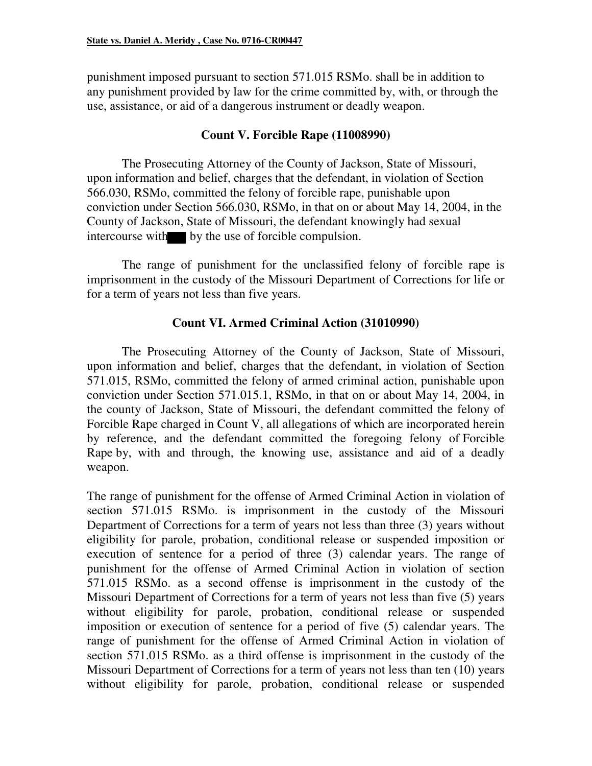punishment imposed pursuant to section 571.015 RSMo. shall be in addition to any punishment provided by law for the crime committed by, with, or through the use, assistance, or aid of a dangerous instrument or deadly weapon.

### **Count V. Forcible Rape (11008990)**

The Prosecuting Attorney of the County of Jackson, State of Missouri, upon information and belief, charges that the defendant, in violation of Section 566.030, RSMo, committed the felony of forcible rape, punishable upon conviction under Section 566.030, RSMo, in that on or about May 14, 2004, in the County of Jackson, State of Missouri, the defendant knowingly had sexual intercourse with by the use of forcible compulsion.

The range of punishment for the unclassified felony of forcible rape is imprisonment in the custody of the Missouri Department of Corrections for life or for a term of years not less than five years.

#### **Count VI. Armed Criminal Action (31010990)**

The Prosecuting Attorney of the County of Jackson, State of Missouri, upon information and belief, charges that the defendant, in violation of Section 571.015, RSMo, committed the felony of armed criminal action, punishable upon conviction under Section 571.015.1, RSMo, in that on or about May 14, 2004, in the county of Jackson, State of Missouri, the defendant committed the felony of Forcible Rape charged in Count V, all allegations of which are incorporated herein by reference, and the defendant committed the foregoing felony of Forcible Rape by, with and through, the knowing use, assistance and aid of a deadly weapon.

The range of punishment for the offense of Armed Criminal Action in violation of section 571.015 RSMo. is imprisonment in the custody of the Missouri Department of Corrections for a term of years not less than three (3) years without eligibility for parole, probation, conditional release or suspended imposition or execution of sentence for a period of three (3) calendar years. The range of punishment for the offense of Armed Criminal Action in violation of section 571.015 RSMo. as a second offense is imprisonment in the custody of the Missouri Department of Corrections for a term of years not less than five (5) years without eligibility for parole, probation, conditional release or suspended imposition or execution of sentence for a period of five (5) calendar years. The range of punishment for the offense of Armed Criminal Action in violation of section 571.015 RSMo. as a third offense is imprisonment in the custody of the Missouri Department of Corrections for a term of years not less than ten (10) years without eligibility for parole, probation, conditional release or suspended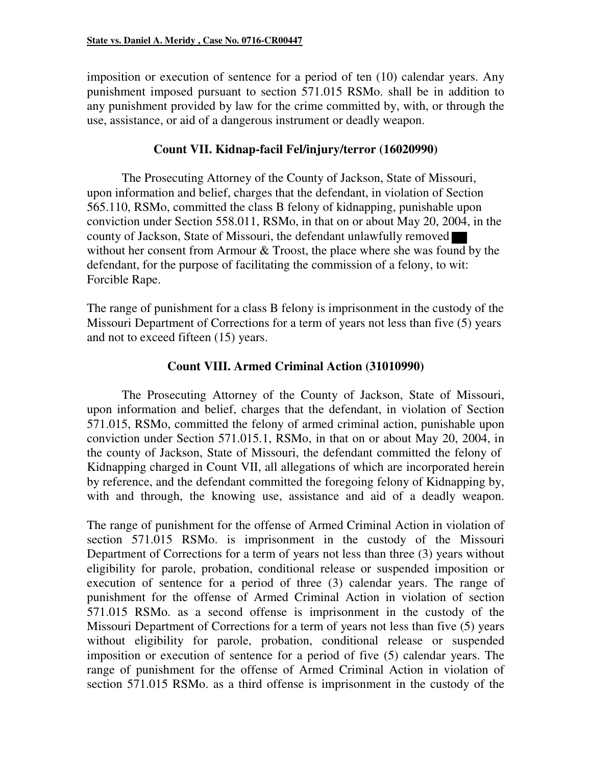imposition or execution of sentence for a period of ten (10) calendar years. Any punishment imposed pursuant to section 571.015 RSMo. shall be in addition to any punishment provided by law for the crime committed by, with, or through the use, assistance, or aid of a dangerous instrument or deadly weapon.

# **Count VII. Kidnap-facil Fel/injury/terror (16020990)**

The Prosecuting Attorney of the County of Jackson, State of Missouri, upon information and belief, charges that the defendant, in violation of Section 565.110, RSMo, committed the class B felony of kidnapping, punishable upon conviction under Section 558.011, RSMo, in that on or about May 20, 2004, in the county of Jackson, State of Missouri, the defendant unlawfully removed without her consent from Armour & Troost, the place where she was found by the defendant, for the purpose of facilitating the commission of a felony, to wit: Forcible Rape.

The range of punishment for a class B felony is imprisonment in the custody of the Missouri Department of Corrections for a term of years not less than five (5) years and not to exceed fifteen (15) years.

# **Count VIII. Armed Criminal Action (31010990)**

The Prosecuting Attorney of the County of Jackson, State of Missouri, upon information and belief, charges that the defendant, in violation of Section 571.015, RSMo, committed the felony of armed criminal action, punishable upon conviction under Section 571.015.1, RSMo, in that on or about May 20, 2004, in the county of Jackson, State of Missouri, the defendant committed the felony of Kidnapping charged in Count VII, all allegations of which are incorporated herein by reference, and the defendant committed the foregoing felony of Kidnapping by, with and through, the knowing use, assistance and aid of a deadly weapon.

The range of punishment for the offense of Armed Criminal Action in violation of section 571.015 RSMo. is imprisonment in the custody of the Missouri Department of Corrections for a term of years not less than three (3) years without eligibility for parole, probation, conditional release or suspended imposition or execution of sentence for a period of three (3) calendar years. The range of punishment for the offense of Armed Criminal Action in violation of section 571.015 RSMo. as a second offense is imprisonment in the custody of the Missouri Department of Corrections for a term of years not less than five (5) years without eligibility for parole, probation, conditional release or suspended imposition or execution of sentence for a period of five (5) calendar years. The range of punishment for the offense of Armed Criminal Action in violation of section 571.015 RSMo. as a third offense is imprisonment in the custody of the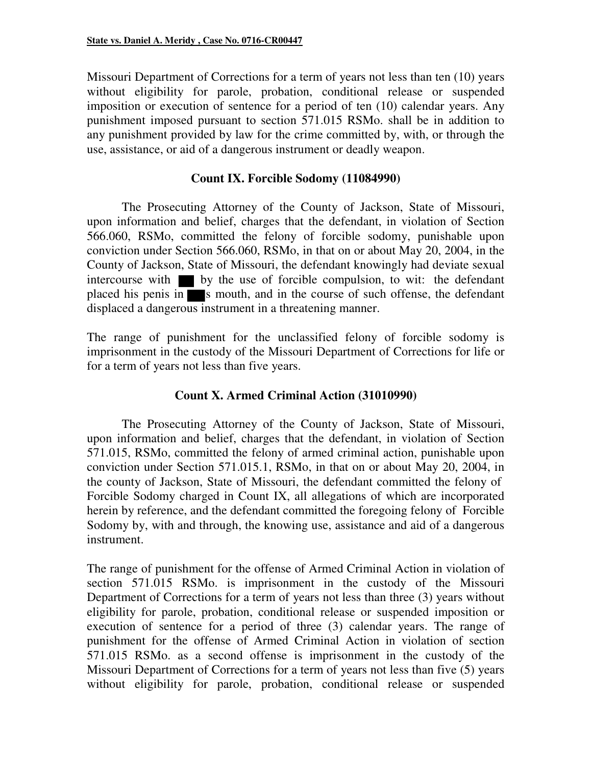Missouri Department of Corrections for a term of years not less than ten (10) years without eligibility for parole, probation, conditional release or suspended imposition or execution of sentence for a period of ten (10) calendar years. Any punishment imposed pursuant to section 571.015 RSMo. shall be in addition to any punishment provided by law for the crime committed by, with, or through the use, assistance, or aid of a dangerous instrument or deadly weapon.

#### **Count IX. Forcible Sodomy (11084990)**

The Prosecuting Attorney of the County of Jackson, State of Missouri, upon information and belief, charges that the defendant, in violation of Section 566.060, RSMo, committed the felony of forcible sodomy, punishable upon conviction under Section 566.060, RSMo, in that on or about May 20, 2004, in the County of Jackson, State of Missouri, the defendant knowingly had deviate sexual intercourse with  $\blacksquare$  by the use of forcible compulsion, to wit: the defendant placed his penis in  $\blacksquare$  s mouth, and in the course of such offense, the defendant displaced a dangerous instrument in a threatening manner.

The range of punishment for the unclassified felony of forcible sodomy is imprisonment in the custody of the Missouri Department of Corrections for life or for a term of years not less than five years.

## **Count X. Armed Criminal Action (31010990)**

The Prosecuting Attorney of the County of Jackson, State of Missouri, upon information and belief, charges that the defendant, in violation of Section 571.015, RSMo, committed the felony of armed criminal action, punishable upon conviction under Section 571.015.1, RSMo, in that on or about May 20, 2004, in the county of Jackson, State of Missouri, the defendant committed the felony of Forcible Sodomy charged in Count IX, all allegations of which are incorporated herein by reference, and the defendant committed the foregoing felony of Forcible Sodomy by, with and through, the knowing use, assistance and aid of a dangerous instrument.

The range of punishment for the offense of Armed Criminal Action in violation of section 571.015 RSMo. is imprisonment in the custody of the Missouri Department of Corrections for a term of years not less than three (3) years without eligibility for parole, probation, conditional release or suspended imposition or execution of sentence for a period of three (3) calendar years. The range of punishment for the offense of Armed Criminal Action in violation of section 571.015 RSMo. as a second offense is imprisonment in the custody of the Missouri Department of Corrections for a term of years not less than five (5) years without eligibility for parole, probation, conditional release or suspended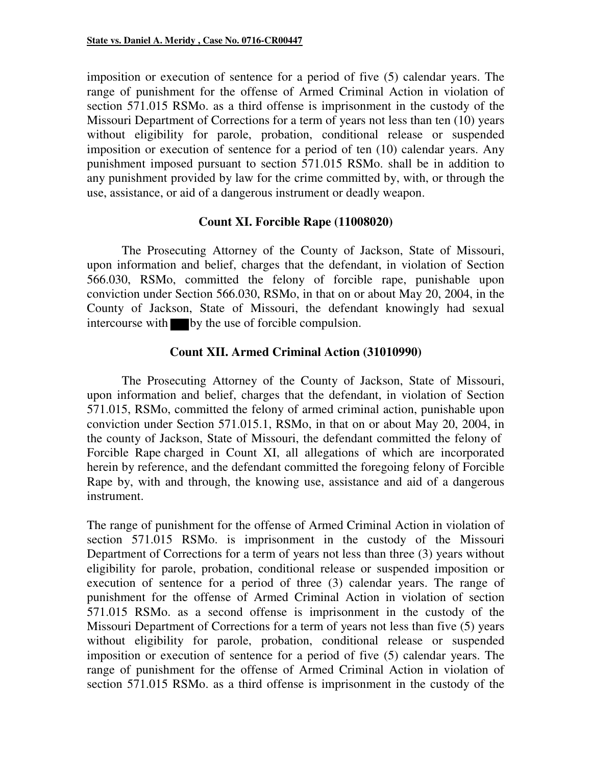imposition or execution of sentence for a period of five (5) calendar years. The range of punishment for the offense of Armed Criminal Action in violation of section 571.015 RSMo. as a third offense is imprisonment in the custody of the Missouri Department of Corrections for a term of years not less than ten (10) years without eligibility for parole, probation, conditional release or suspended imposition or execution of sentence for a period of ten (10) calendar years. Any punishment imposed pursuant to section 571.015 RSMo. shall be in addition to any punishment provided by law for the crime committed by, with, or through the use, assistance, or aid of a dangerous instrument or deadly weapon.

#### **Count XI. Forcible Rape (11008020)**

The Prosecuting Attorney of the County of Jackson, State of Missouri, upon information and belief, charges that the defendant, in violation of Section 566.030, RSMo, committed the felony of forcible rape, punishable upon conviction under Section 566.030, RSMo, in that on or about May 20, 2004, in the County of Jackson, State of Missouri, the defendant knowingly had sexual intercourse with by the use of forcible compulsion.

#### **Count XII. Armed Criminal Action (31010990)**

The Prosecuting Attorney of the County of Jackson, State of Missouri, upon information and belief, charges that the defendant, in violation of Section 571.015, RSMo, committed the felony of armed criminal action, punishable upon conviction under Section 571.015.1, RSMo, in that on or about May 20, 2004, in the county of Jackson, State of Missouri, the defendant committed the felony of Forcible Rape charged in Count XI, all allegations of which are incorporated herein by reference, and the defendant committed the foregoing felony of Forcible Rape by, with and through, the knowing use, assistance and aid of a dangerous instrument.

The range of punishment for the offense of Armed Criminal Action in violation of section 571.015 RSMo. is imprisonment in the custody of the Missouri Department of Corrections for a term of years not less than three (3) years without eligibility for parole, probation, conditional release or suspended imposition or execution of sentence for a period of three (3) calendar years. The range of punishment for the offense of Armed Criminal Action in violation of section 571.015 RSMo. as a second offense is imprisonment in the custody of the Missouri Department of Corrections for a term of years not less than five (5) years without eligibility for parole, probation, conditional release or suspended imposition or execution of sentence for a period of five (5) calendar years. The range of punishment for the offense of Armed Criminal Action in violation of section 571.015 RSMo. as a third offense is imprisonment in the custody of the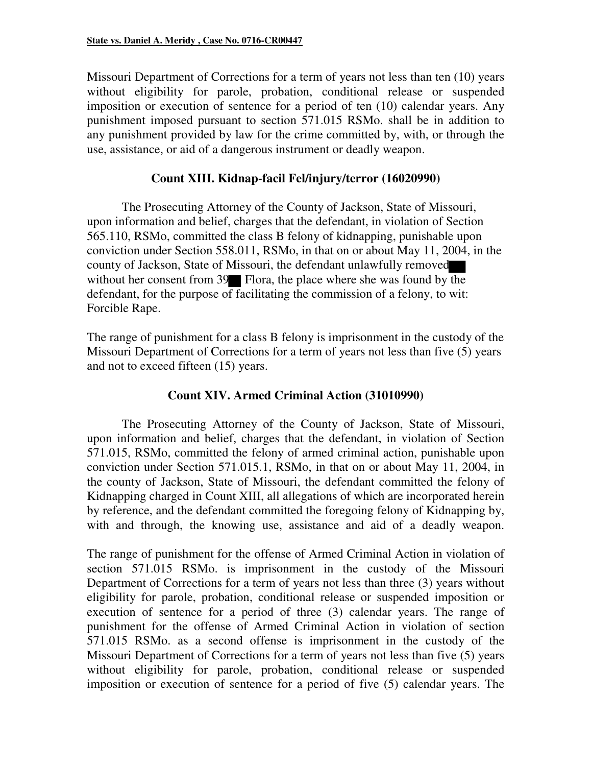Missouri Department of Corrections for a term of years not less than ten (10) years without eligibility for parole, probation, conditional release or suspended imposition or execution of sentence for a period of ten (10) calendar years. Any punishment imposed pursuant to section 571.015 RSMo. shall be in addition to any punishment provided by law for the crime committed by, with, or through the use, assistance, or aid of a dangerous instrument or deadly weapon.

#### **Count XIII. Kidnap-facil Fel/injury/terror (16020990)**

The Prosecuting Attorney of the County of Jackson, State of Missouri, upon information and belief, charges that the defendant, in violation of Section 565.110, RSMo, committed the class B felony of kidnapping, punishable upon conviction under Section 558.011, RSMo, in that on or about May 11, 2004, in the county of Jackson, State of Missouri, the defendant unlawfully removed without her consent from 39 Flora, the place where she was found by the defendant, for the purpose of facilitating the commission of a felony, to wit: Forcible Rape.

The range of punishment for a class B felony is imprisonment in the custody of the Missouri Department of Corrections for a term of years not less than five (5) years and not to exceed fifteen (15) years.

## **Count XIV. Armed Criminal Action (31010990)**

The Prosecuting Attorney of the County of Jackson, State of Missouri, upon information and belief, charges that the defendant, in violation of Section 571.015, RSMo, committed the felony of armed criminal action, punishable upon conviction under Section 571.015.1, RSMo, in that on or about May 11, 2004, in the county of Jackson, State of Missouri, the defendant committed the felony of Kidnapping charged in Count XIII, all allegations of which are incorporated herein by reference, and the defendant committed the foregoing felony of Kidnapping by, with and through, the knowing use, assistance and aid of a deadly weapon.

The range of punishment for the offense of Armed Criminal Action in violation of section 571.015 RSMo. is imprisonment in the custody of the Missouri Department of Corrections for a term of years not less than three (3) years without eligibility for parole, probation, conditional release or suspended imposition or execution of sentence for a period of three (3) calendar years. The range of punishment for the offense of Armed Criminal Action in violation of section 571.015 RSMo. as a second offense is imprisonment in the custody of the Missouri Department of Corrections for a term of years not less than five (5) years without eligibility for parole, probation, conditional release or suspended imposition or execution of sentence for a period of five (5) calendar years. The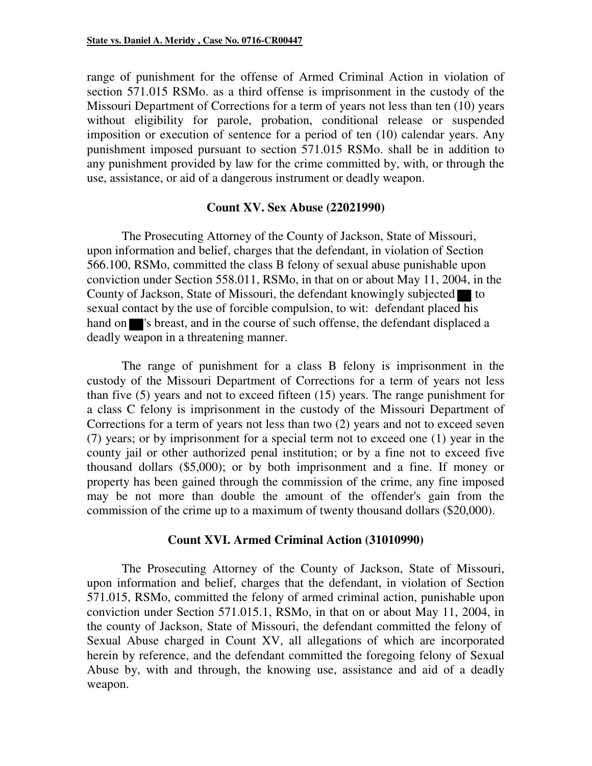range of punishment for the offense of Armed Criminal Action in violation of section 571.015 RSMo. as a third offense is imprisonment in the custody of the Missouri Department of Corrections for a term of years not less than ten (10) years without eligibility for parole, probation, conditional release or suspended imposition or execution of sentence for a period of ten (10) calendar years. Any punishment imposed pursuant to section 571.015 RSMo. shall be in addition to any punishment provided by law for the crime committed by, with, or through the use, assistance, or aid of a dangerous instrument or deadly weapon.

#### **Count XV. Sex Abuse (22021990)**

The Prosecuting Attorney of the County of Jackson, State of Missouri, upon information and belief, charges that the defendant, in violation of Section 566.100, RSMo, committed the class B felony of sexual abuse punishable upon conviction under Section 558.011, RSMo, in that on or about May 11, 2004, in the County of Jackson, State of Missouri, the defendant knowingly subjected  $\blacksquare$  to sexual contact by the use of forcible compulsion, to wit: defendant placed his hand on set is breast, and in the course of such offense, the defendant displaced a deadly weapon in a threatening manner.

The range of punishment for a class B felony is imprisonment in the custody of the Missouri Department of Corrections for a term of years not less than five (5) years and not to exceed fifteen (15) years. The range punishment for a class C felony is imprisonment in the custody of the Missouri Department of Corrections for a term of years not less than two (2) years and not to exceed seven (7) years; or by imprisonment for a special term not to exceed one (1) year in the county jail or other authorized penal institution; or by a fine not to exceed five thousand dollars (\$5,000); or by both imprisonment and a fine. If money or property has been gained through the commission of the crime, any fine imposed may be not more than double the amount of the offender's gain from the commission of the crime up to a maximum of twenty thousand dollars (\$20,000).

#### **Count XVI. Armed Criminal Action (31010990)**

The Prosecuting Attorney of the County of Jackson, State of Missouri, upon information and belief, charges that the defendant, in violation of Section 571.015, RSMo, committed the felony of armed criminal action, punishable upon conviction under Section 571.015.1, RSMo, in that on or about May 11, 2004, in the county of Jackson, State of Missouri, the defendant committed the felony of Sexual Abuse charged in Count XV, all allegations of which are incorporated herein by reference, and the defendant committed the foregoing felony of Sexual Abuse by, with and through, the knowing use, assistance and aid of a deadly weapon.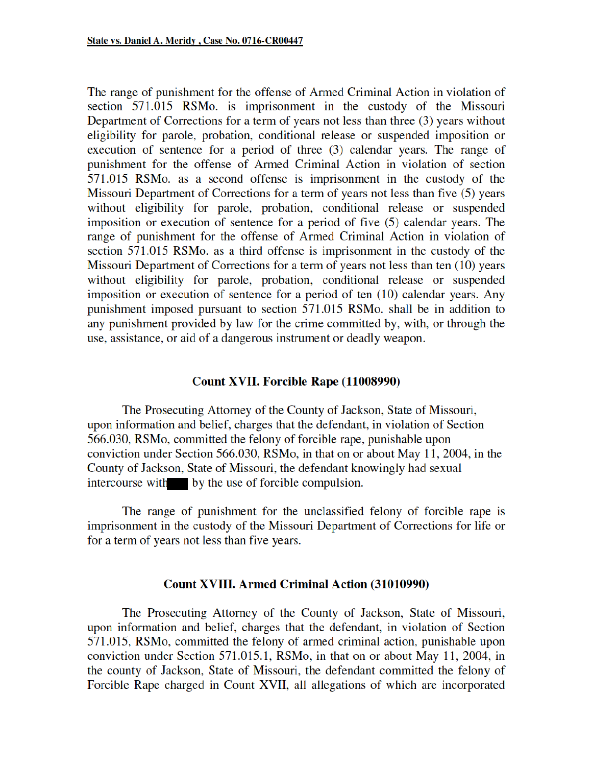The range of punishment for the offense of Armed Criminal Action in violation of section 571.015 RSMo. is imprisonment in the custody of the Missouri Department of Corrections for a term of years not less than three (3) years without eligibility for parole, probation, conditional release or suspended imposition or execution of sentence for a period of three (3) calendar years. The range of punishment for the offense of Armed Criminal Action in violation of section 571.015 RSMo. as a second offense is imprisonment in the custody of the Missouri Department of Corrections for a term of years not less than five (5) years without eligibility for parole, probation, conditional release or suspended imposition or execution of sentence for a period of five (5) calendar years. The range of punishment for the offense of Armed Criminal Action in violation of section 571.015 RSMo. as a third offense is imprisonment in the custody of the Missouri Department of Corrections for a term of years not less than ten (10) years without eligibility for parole, probation, conditional release or suspended imposition or execution of sentence for a period of ten (10) calendar years. Any punishment imposed pursuant to section 571.015 RSMo. shall be in addition to any punishment provided by law for the crime committed by, with, or through the use, assistance, or aid of a dangerous instrument or deadly weapon.

#### **Count XVII. Forcible Rape (11008990)**

The Prosecuting Attorney of the County of Jackson, State of Missouri, upon information and belief, charges that the defendant, in violation of Section 566.030, RSMo, committed the felony of forcible rape, punishable upon conviction under Section 566.030, RSMo, in that on or about May 11, 2004, in the County of Jackson, State of Missouri, the defendant knowingly had sexual intercourse with by the use of forcible compulsion.

The range of punishment for the unclassified felony of forcible rape is imprisonment in the custody of the Missouri Department of Corrections for life or for a term of years not less than five years.

#### **Count XVIII. Armed Criminal Action (31010990)**

The Prosecuting Attorney of the County of Jackson, State of Missouri, upon information and belief, charges that the defendant, in violation of Section 571.015, RSMo, committed the felony of armed criminal action, punishable upon conviction under Section 571.015.1, RSMo, in that on or about May 11, 2004, in the county of Jackson, State of Missouri, the defendant committed the felony of Forcible Rape charged in Count XVII, all allegations of which are incorporated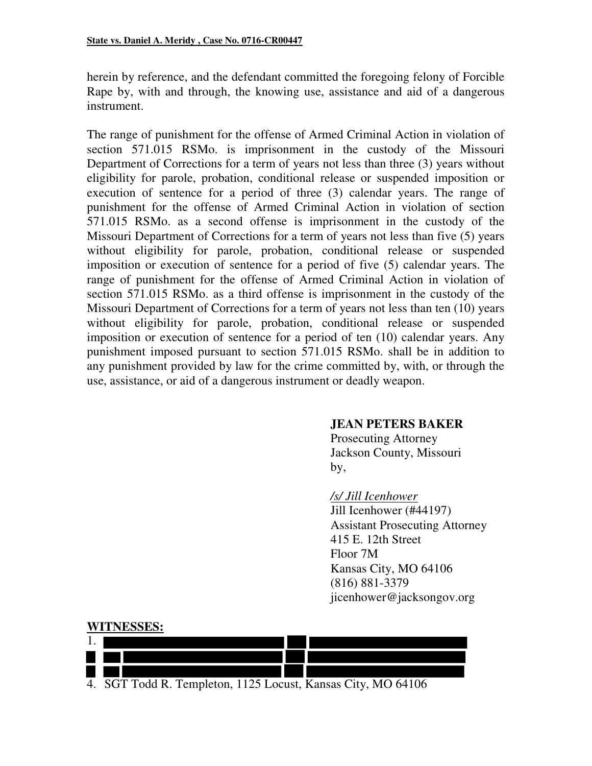herein by reference, and the defendant committed the foregoing felony of Forcible Rape by, with and through, the knowing use, assistance and aid of a dangerous instrument.

The range of punishment for the offense of Armed Criminal Action in violation of section 571.015 RSMo. is imprisonment in the custody of the Missouri Department of Corrections for a term of years not less than three (3) years without eligibility for parole, probation, conditional release or suspended imposition or execution of sentence for a period of three (3) calendar years. The range of punishment for the offense of Armed Criminal Action in violation of section 571.015 RSMo. as a second offense is imprisonment in the custody of the Missouri Department of Corrections for a term of years not less than five (5) years without eligibility for parole, probation, conditional release or suspended imposition or execution of sentence for a period of five (5) calendar years. The range of punishment for the offense of Armed Criminal Action in violation of section 571.015 RSMo. as a third offense is imprisonment in the custody of the Missouri Department of Corrections for a term of years not less than ten (10) years without eligibility for parole, probation, conditional release or suspended imposition or execution of sentence for a period of ten (10) calendar years. Any punishment imposed pursuant to section 571.015 RSMo. shall be in addition to any punishment provided by law for the crime committed by, with, or through the use, assistance, or aid of a dangerous instrument or deadly weapon.

#### **JEAN PETERS BAKER**

 Prosecuting Attorney Jackson County, Missouri by,

> */s/ Jill Icenhower*  Jill Icenhower (#44197) Assistant Prosecuting Attorney 415 E. 12th Street Floor 7M Kansas City, MO 64106 (816) 881-3379 jicenhower@jacksongov.org